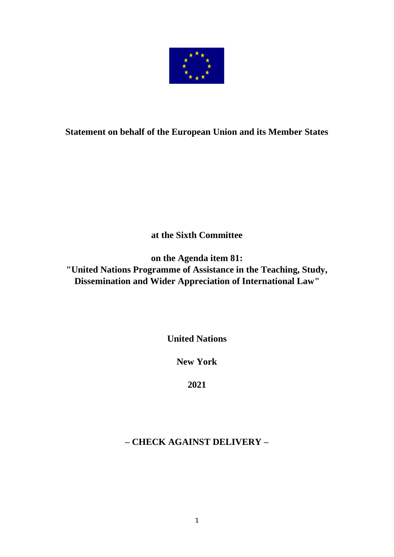

## **Statement on behalf of the European Union and its Member States**

**at the Sixth Committee**

**on the Agenda item 81: "United Nations Programme of Assistance in the Teaching, Study, Dissemination and Wider Appreciation of International Law"**

**United Nations**

**New York**

**2021**

# **– CHECK AGAINST DELIVERY –**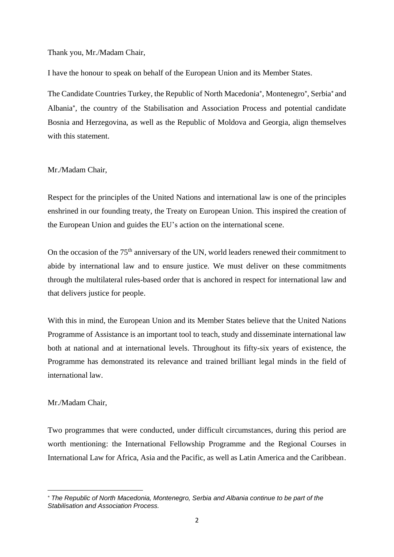Thank you, Mr./Madam Chair,

I have the honour to speak on behalf of the European Union and its Member States.

The Candidate Countries Turkey, the Republic of North Macedonia\*, Montenegro\*, Serbia\* and Albania , the country of the Stabilisation and Association Process and potential candidate Bosnia and Herzegovina, as well as the Republic of Moldova and Georgia, align themselves with this statement.

#### Mr./Madam Chair,

Respect for the principles of the United Nations and international law is one of the principles enshrined in our founding treaty, the Treaty on European Union. This inspired the creation of the European Union and guides the EU's action on the international scene.

On the occasion of the 75<sup>th</sup> anniversary of the UN, world leaders renewed their commitment to abide by international law and to ensure justice. We must deliver on these commitments through the multilateral rules-based order that is anchored in respect for international law and that delivers justice for people.

With this in mind, the European Union and its Member States believe that the United Nations Programme of Assistance is an important tool to teach, study and disseminate international law both at national and at international levels. Throughout its fifty-six years of existence, the Programme has demonstrated its relevance and trained brilliant legal minds in the field of international law.

#### Mr./Madam Chair,

Two programmes that were conducted, under difficult circumstances, during this period are worth mentioning: the International Fellowship Programme and the Regional Courses in International Law for Africa, Asia and the Pacific, as well as Latin America and the Caribbean.

*The Republic of North Macedonia, Montenegro, Serbia and Albania continue to be part of the Stabilisation and Association Process.*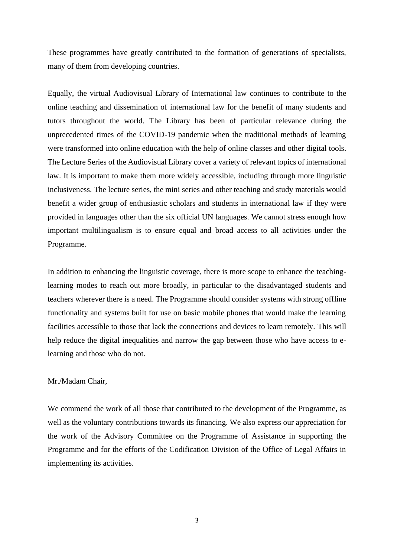These programmes have greatly contributed to the formation of generations of specialists, many of them from developing countries.

Equally, the virtual Audiovisual Library of International law continues to contribute to the online teaching and dissemination of international law for the benefit of many students and tutors throughout the world. The Library has been of particular relevance during the unprecedented times of the COVID-19 pandemic when the traditional methods of learning were transformed into online education with the help of online classes and other digital tools. The Lecture Series of the Audiovisual Library cover a variety of relevant topics of international law. It is important to make them more widely accessible, including through more linguistic inclusiveness. The lecture series, the mini series and other teaching and study materials would benefit a wider group of enthusiastic scholars and students in international law if they were provided in languages other than the six official UN languages. We cannot stress enough how important multilingualism is to ensure equal and broad access to all activities under the Programme.

In addition to enhancing the linguistic coverage, there is more scope to enhance the teachinglearning modes to reach out more broadly, in particular to the disadvantaged students and teachers wherever there is a need. The Programme should consider systems with strong offline functionality and systems built for use on basic mobile phones that would make the learning facilities accessible to those that lack the connections and devices to learn remotely. This will help reduce the digital inequalities and narrow the gap between those who have access to elearning and those who do not.

### Mr./Madam Chair,

We commend the work of all those that contributed to the development of the Programme, as well as the voluntary contributions towards its financing. We also express our appreciation for the work of the Advisory Committee on the Programme of Assistance in supporting the Programme and for the efforts of the Codification Division of the Office of Legal Affairs in implementing its activities.